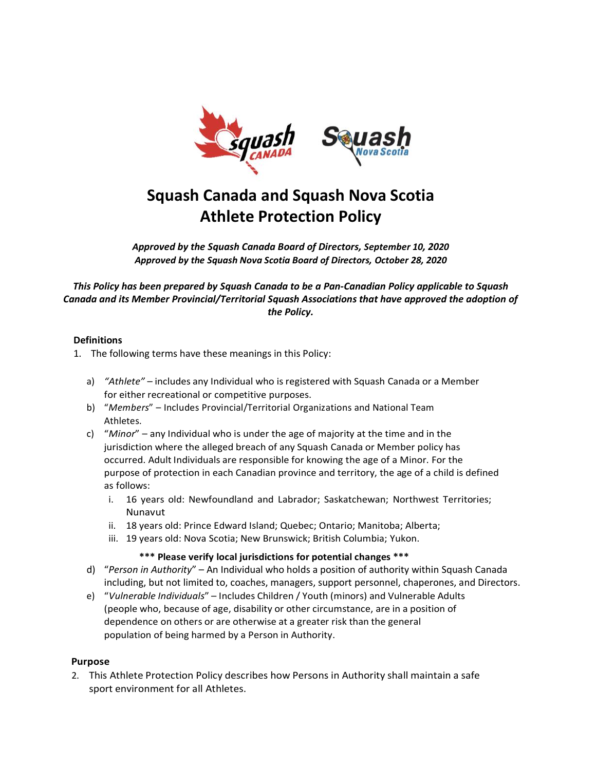

# **Squash Canada and Squash Nova Scotia Athlete Protection Policy**

*Approved by the Squash Canada Board of Directors, September 10, 2020 Approved by the Squash Nova Scotia Board of Directors, October 28, 2020*

*This Policy has been prepared by Squash Canada to be a Pan-Canadian Policy applicable to Squash Canada and its Member Provincial/Territorial Squash Associations that have approved the adoption of the Policy.*

# **Definitions**

1. The following terms have these meanings in this Policy:

- a) *"Athlete"* includes any Individual who is registered with Squash Canada or a Member for either recreational or competitive purposes.
- b) "*Members*" Includes Provincial/Territorial Organizations and National Team Athletes.
- c) "*Minor*" any Individual who is under the age of majority at the time and in the jurisdiction where the alleged breach of any Squash Canada or Member policy has occurred. Adult Individuals are responsible for knowing the age of a Minor. For the purpose of protection in each Canadian province and territory, the age of a child is defined as follows:
	- i. 16 years old: Newfoundland and Labrador; Saskatchewan; Northwest Territories; Nunavut
	- ii. 18 years old: Prince Edward Island; Quebec; Ontario; Manitoba; Alberta;
	- iii. 19 years old: Nova Scotia; New Brunswick; British Columbia; Yukon.

# **\*\*\* Please verify local jurisdictions for potential changes \*\*\***

- d) "*Person in Authority*" An Individual who holds a position of authority within Squash Canada including, but not limited to, coaches, managers, support personnel, chaperones, and Directors.
- e) "*Vulnerable Individuals*" Includes Children / Youth (minors) and Vulnerable Adults (people who, because of age, disability or other circumstance, are in a position of dependence on others or are otherwise at a greater risk than the general population of being harmed by a Person in Authority.

# **Purpose**

2. This Athlete Protection Policy describes how Persons in Authority shall maintain a safe sport environment for all Athletes.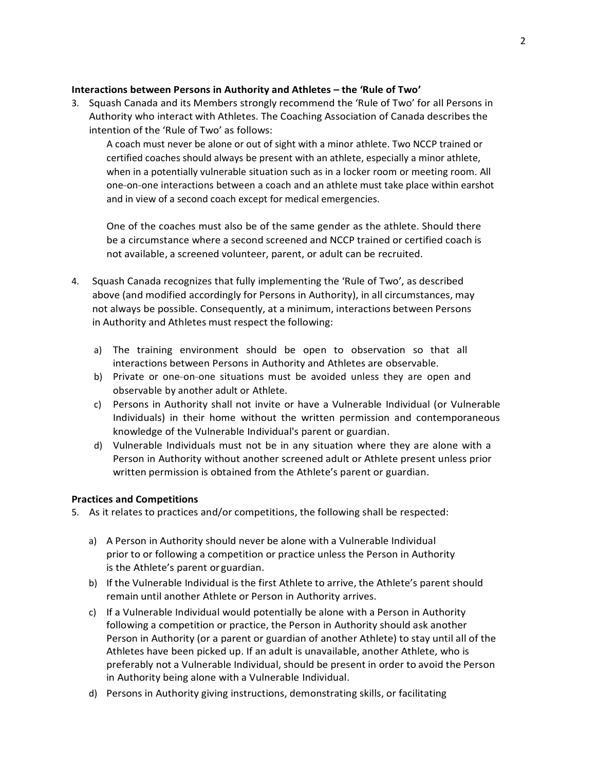# **Interactions between Persons in Authority and Athletes – the 'Rule of Two'**

3. Squash Canada and its Members strongly recommend the 'Rule of Two' for all Persons in Authority who interact with Athletes. The Coaching Association of Canada describes the intention of the 'Rule of Two' as follows:

A coach must never be alone or out of sight with a minor athlete. Two NCCP trained or certified coaches should always be present with an athlete, especially a minor athlete, when in a potentially vulnerable situation such as in a locker room or meeting room. All one-on-one interactions between a coach and an athlete must take place within earshot and in view of a second coach except for medical emergencies.

One of the coaches must also be of the same gender as the athlete. Should there be a circumstance where a second screened and NCCP trained or certified coach is not available, a screened volunteer, parent, or adult can be recruited.

- 4. Squash Canada recognizes that fully implementing the 'Rule of Two', as described above (and modified accordingly for Persons in Authority), in all circumstances, may not always be possible. Consequently, at a minimum, interactions between Persons in Authority and Athletes must respect the following:
	- a) The training environment should be open to observation so that all interactions between Persons in Authority and Athletes are observable.
	- b) Private or one-on-one situations must be avoided unless they are open and observable by another adult or Athlete.
	- c) Persons in Authority shall not invite or have a Vulnerable Individual (or Vulnerable Individuals) in their home without the written permission and contemporaneous knowledge of the Vulnerable Individual's parent or guardian.
	- d) Vulnerable Individuals must not be in any situation where they are alone with a Person in Authority without another screened adult or Athlete present unless prior written permission is obtained from the Athlete's parent or guardian.

#### **Practices and Competitions**

5. As it relates to practices and/or competitions, the following shall be respected:

- a) A Person in Authority should never be alone with a Vulnerable Individual prior to or following a competition or practice unless the Person in Authority is the Athlete's parent or guardian.
- b) If the Vulnerable Individual is the first Athlete to arrive, the Athlete's parent should remain until another Athlete or Person in Authority arrives.
- c) If a Vulnerable Individual would potentially be alone with a Person in Authority following a competition or practice, the Person in Authority should ask another Person in Authority (or a parent or guardian of another Athlete) to stay until all of the Athletes have been picked up. If an adult is unavailable, another Athlete, who is preferably not a Vulnerable Individual, should be present in order to avoid the Person in Authority being alone with a Vulnerable Individual.
- d) Persons in Authority giving instructions, demonstrating skills, or facilitating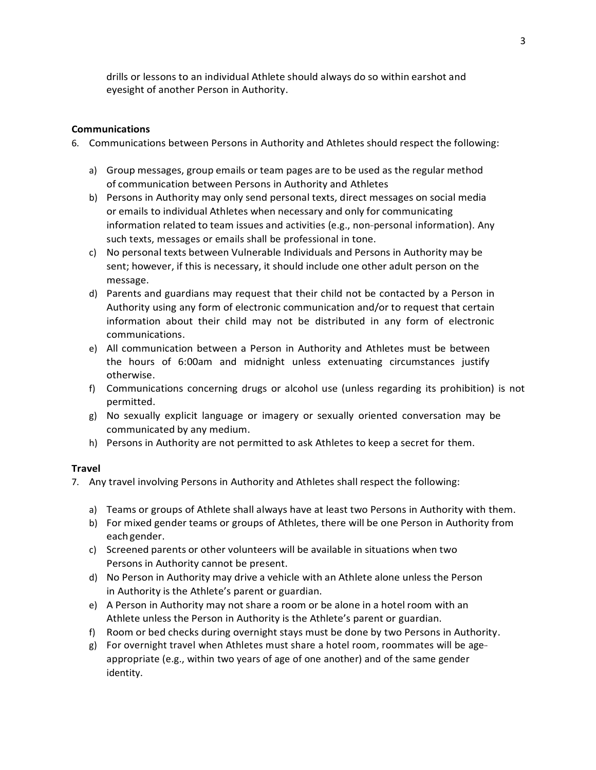drills or lessons to an individual Athlete should always do so within earshot and eyesight of another Person in Authority.

## **Communications**

6. Communications between Persons in Authority and Athletes should respect the following:

- a) Group messages, group emails or team pages are to be used as the regular method of communication between Persons in Authority and Athletes
- b) Persons in Authority may only send personal texts, direct messages on social media or emails to individual Athletes when necessary and only for communicating information related to team issues and activities (e.g., non--personal information). Any such texts, messages or emails shall be professional in tone.
- c) No personal texts between Vulnerable Individuals and Persons in Authority may be sent; however, if this is necessary, it should include one other adult person on the message.
- d) Parents and guardians may request that their child not be contacted by a Person in Authority using any form of electronic communication and/or to request that certain information about their child may not be distributed in any form of electronic communications.
- e) All communication between a Person in Authority and Athletes must be between the hours of 6:00am and midnight unless extenuating circumstances justify otherwise.
- f) Communications concerning drugs or alcohol use (unless regarding its prohibition) is not permitted.
- g) No sexually explicit language or imagery or sexually oriented conversation may be communicated by any medium.
- h) Persons in Authority are not permitted to ask Athletes to keep a secret for them.

#### **Travel**

- 7. Any travel involving Persons in Authority and Athletes shall respect the following:
	- a) Teams or groups of Athlete shall always have at least two Persons in Authority with them.
	- b) For mixed gender teams or groups of Athletes, there will be one Person in Authority from eachgender.
	- c) Screened parents or other volunteers will be available in situations when two Persons in Authority cannot be present.
	- d) No Person in Authority may drive a vehicle with an Athlete alone unless the Person in Authority is the Athlete's parent or guardian.
	- e) A Person in Authority may not share a room or be alone in a hotel room with an Athlete unless the Person in Authority is the Athlete's parent or guardian.
	- f) Room or bed checks during overnight stays must be done by two Persons in Authority.
	- g) For overnight travel when Athletes must share a hotel room, roommates will be age- appropriate (e.g., within two years of age of one another) and of the same gender identity.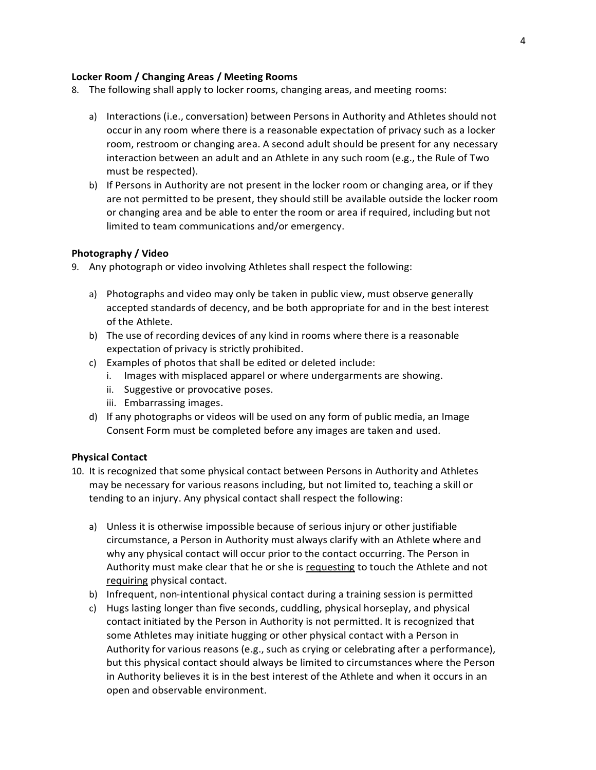## **Locker Room / Changing Areas / Meeting Rooms**

- 8. The following shall apply to locker rooms, changing areas, and meeting rooms:
	- a) Interactions (i.e., conversation) between Persons in Authority and Athletes should not occur in any room where there is a reasonable expectation of privacy such as a locker room, restroom or changing area. A second adult should be present for any necessary interaction between an adult and an Athlete in any such room (e.g., the Rule of Two must be respected).
	- b) If Persons in Authority are not present in the locker room or changing area, or if they are not permitted to be present, they should still be available outside the locker room or changing area and be able to enter the room or area if required, including but not limited to team communications and/or emergency.

## **Photography / Video**

- 9. Any photograph or video involving Athletes shall respect the following:
	- a) Photographs and video may only be taken in public view, must observe generally accepted standards of decency, and be both appropriate for and in the best interest of the Athlete.
	- b) The use of recording devices of any kind in rooms where there is a reasonable expectation of privacy is strictly prohibited.
	- c) Examples of photos that shall be edited or deleted include:
		- i. Images with misplaced apparel or where undergarments are showing.
		- ii. Suggestive or provocative poses.
		- iii. Embarrassing images.
	- d) If any photographs or videos will be used on any form of public media, an Image Consent Form must be completed before any images are taken and used.

#### **Physical Contact**

- 10. It is recognized that some physical contact between Persons in Authority and Athletes may be necessary for various reasons including, but not limited to, teaching a skill or tending to an injury. Any physical contact shall respect the following:
	- a) Unless it is otherwise impossible because of serious injury or other justifiable circumstance, a Person in Authority must always clarify with an Athlete where and why any physical contact will occur prior to the contact occurring. The Person in Authority must make clear that he or she is requesting to touch the Athlete and not requiring physical contact.
	- b) Infrequent, non-intentional physical contact during a training session is permitted
	- c) Hugs lasting longer than five seconds, cuddling, physical horseplay, and physical contact initiated by the Person in Authority is not permitted. It is recognized that some Athletes may initiate hugging or other physical contact with a Person in Authority for various reasons (e.g., such as crying or celebrating after a performance), but this physical contact should always be limited to circumstances where the Person in Authority believes it is in the best interest of the Athlete and when it occurs in an open and observable environment.